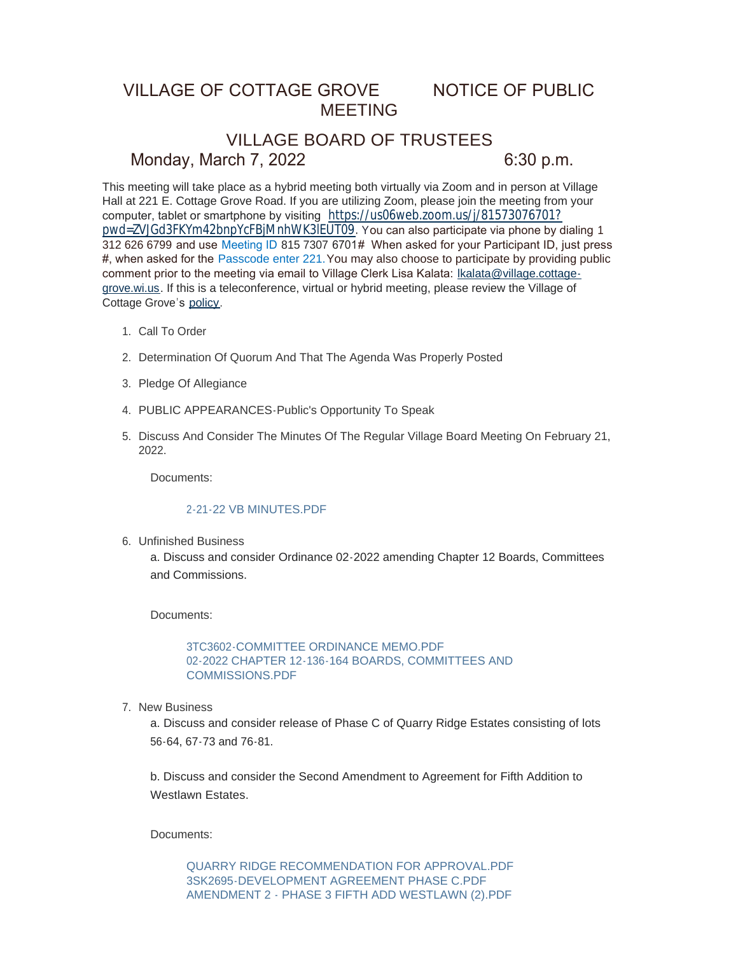## VILLAGE OF COTTAGE GROVE NOTICE OF PUBLIC MEETING

# VILLAGE BOARD OF TRUSTEES Monday, March 7, 2022 6:30 p.m.

This meeting will take place as a hybrid meeting both virtually via Zoom and in person at Village Hall at 221 E. Cottage Grove Road. If you are utilizing Zoom, please join the meeting from your computer, tablet or smartphone by visiting [https://us06web.zoom.us/j/81573076701?](https://us06web.zoom.us/j/81573076701?pwd=ZVJGd3FKYm42bnpYcFBjMnhWK3lEUT09) pwd=ZVJGd3FKYm42bnpYcFBjMnhWK3lEUT09. You can also participate via phone by dialing 1 312 626 6799 and use Meeting ID 815 7307 6701# When asked for your Participant ID, just press #, when asked for the Passcode enter 221.You may also choose to participate by providing public comment prior to the meeting via email to Village Clerk Lisa Kalata: Ikalata@village.cottagegrove.wi.us. If this is a teleconference, virtual or hybrid meeting, plea[se review the Village of](mailto:lkalata@village.cottage-grove.wi.us)  Cottage Grove's [policy](https://www.vi.cottagegrove.wi.gov/DocumentCenter/View/1850/Virtual-Hybrid-Tele-meeting-Policy-Final).

- 1. Call To Order
- 2. Determination Of Quorum And That The Agenda Was Properly Posted
- 3. Pledge Of Allegiance
- PUBLIC APPEARANCES-Public's Opportunity To Speak 4.
- 5. Discuss And Consider The Minutes Of The Regular Village Board Meeting On February 21, 2022.

Documents:

#### [2-21-22 VB MINUTES.PDF](https://www.vi.cottagegrove.wi.gov/AgendaCenter/ViewFile/Item/9631?fileID=19156)

Unfinished Business 6.

a. Discuss and consider Ordinance 02-2022 amending Chapter 12 Boards, Committees and Commissions.

Documents:

[3TC3602-COMMITTEE ORDINANCE MEMO.PDF](https://www.vi.cottagegrove.wi.gov/AgendaCenter/ViewFile/Item/9684?fileID=19229) [02-2022 CHAPTER 12-136-164 BOARDS, COMMITTEES AND](https://www.vi.cottagegrove.wi.gov/AgendaCenter/ViewFile/Item/9684?fileID=19230)  COMMISSIONS.PDF

7. New Business

a. Discuss and consider release of Phase C of Quarry Ridge Estates consisting of lots 56-64, 67-73 and 76-81.

b. Discuss and consider the Second Amendment to Agreement for Fifth Addition to Westlawn Estates.

Documents:

[QUARRY RIDGE RECOMMENDATION FOR APPROVAL.PDF](https://www.vi.cottagegrove.wi.gov/AgendaCenter/ViewFile/Item/9667?fileID=19206) [3SK2695-DEVELOPMENT AGREEMENT PHASE C.PDF](https://www.vi.cottagegrove.wi.gov/AgendaCenter/ViewFile/Item/9667?fileID=19207) [AMENDMENT 2 - PHASE 3 FIFTH ADD WESTLAWN \(2\).PDF](https://www.vi.cottagegrove.wi.gov/AgendaCenter/ViewFile/Item/9667?fileID=19208)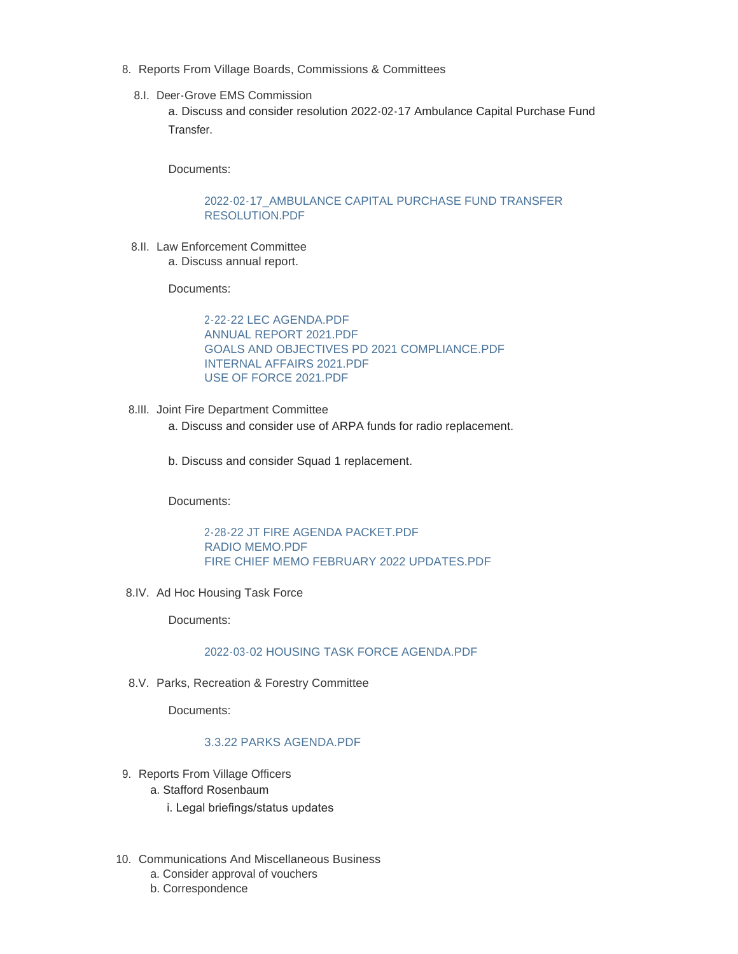- 8. Reports From Village Boards, Commissions & Committees
	- 8.I. Deer-Grove EMS Commission

a. Discuss and consider resolution 2022-02-17 Ambulance Capital Purchase Fund Transfer.

Documents:

#### [2022-02-17\\_AMBULANCE CAPITAL PURCHASE FUND TRANSFER](https://www.vi.cottagegrove.wi.gov/AgendaCenter/ViewFile/Item/9634?fileID=19157)  RESOLUTION.PDF

8.II. Law Enforcement Committee a. Discuss annual report.

Documents:

[2-22-22 LEC AGENDA.PDF](https://www.vi.cottagegrove.wi.gov/AgendaCenter/ViewFile/Item/9668?fileID=19209) [ANNUAL REPORT 2021.PDF](https://www.vi.cottagegrove.wi.gov/AgendaCenter/ViewFile/Item/9668?fileID=19210) [GOALS AND OBJECTIVES PD 2021 COMPLIANCE.PDF](https://www.vi.cottagegrove.wi.gov/AgendaCenter/ViewFile/Item/9668?fileID=19211) [INTERNAL AFFAIRS 2021.PDF](https://www.vi.cottagegrove.wi.gov/AgendaCenter/ViewFile/Item/9668?fileID=19212) [USE OF FORCE 2021.PDF](https://www.vi.cottagegrove.wi.gov/AgendaCenter/ViewFile/Item/9668?fileID=19213)

- 8.III. Joint Fire Department Committee a. Discuss and consider use of ARPA funds for radio replacement.
	- b. Discuss and consider Squad 1 replacement.

Documents:

[2-28-22 JT FIRE AGENDA PACKET.PDF](https://www.vi.cottagegrove.wi.gov/AgendaCenter/ViewFile/Item/9696?fileID=19242) [RADIO MEMO.PDF](https://www.vi.cottagegrove.wi.gov/AgendaCenter/ViewFile/Item/9696?fileID=19243) [FIRE CHIEF MEMO FEBRUARY 2022 UPDATES.PDF](https://www.vi.cottagegrove.wi.gov/AgendaCenter/ViewFile/Item/9696?fileID=19244)

8.IV. Ad Hoc Housing Task Force

Documents:

[2022-03-02 HOUSING TASK FORCE AGENDA.PDF](https://www.vi.cottagegrove.wi.gov/AgendaCenter/ViewFile/Item/9637?fileID=19160)

8.V. Parks, Recreation & Forestry Committee

Documents:

### [3.3.22 PARKS AGENDA.PDF](https://www.vi.cottagegrove.wi.gov/AgendaCenter/ViewFile/Item/9638?fileID=19161)

- 9. Reports From Village Officers a. Stafford Rosenbaum
	- - i. Legal briefings/status updates
- 10. Communications And Miscellaneous Business
	- a. Consider approval of vouchers
	- b. Correspondence